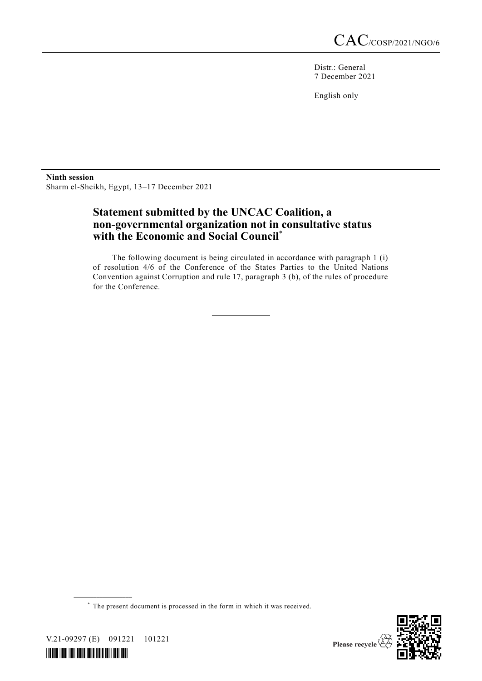Distr.: General 7 December 2021

English only

**Ninth session**  Sharm el-Sheikh, Egypt, 13–17 December 2021

## **Statement submitted by the UNCAC Coalition, a non-governmental organization not in consultative status with the Economic and Social Council**\*

The following document is being circulated in accordance with paragraph 1 (i) of resolution 4/6 of the Conference of the States Parties to the United Nations Convention against Corruption and rule 17, paragraph 3 (b), of the rules of procedure for the Conference.

\* The present document is processed in the form in which it was received.



V.21-09297 (E) 091221 101221

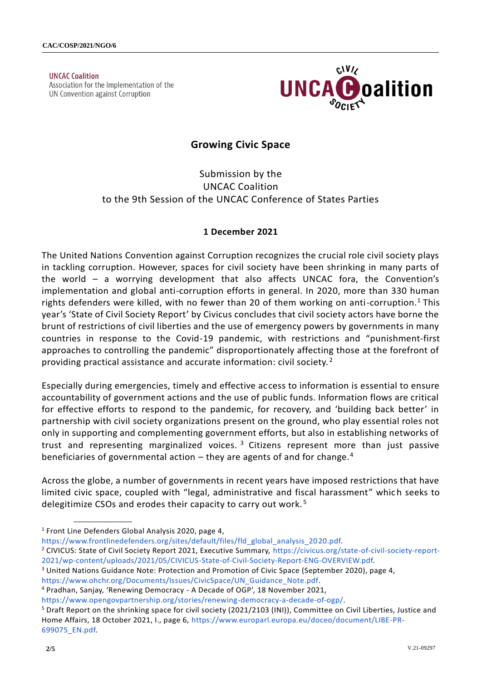**UNCAC Coalition** Association for the Implementation of the UN Convention against Corruption



# **Growing Civic Space**

Submission by the UNCAC Coalition to the 9th Session of the UNCAC Conference of States Parties

### **1 December 2021**

The United Nations Convention against Corruption recognizes the crucial role civil society plays in tackling corruption. However, spaces for civil society have been shrinking in many parts of the world – a worrying development that also affects UNCAC fora, the Convention's implementation and global anti-corruption efforts in general. In 2020, more than 330 human rights defenders were killed, with no fewer than 20 of them working on anti-corruption.<sup>1</sup> This year's 'State of Civil Society Report' by Civicus concludes that civil society actors have borne the brunt of restrictions of civil liberties and the use of emergency powers by governments in many countries in response to the Covid-19 pandemic, with restrictions and "punishment-first approaches to controlling the pandemic" disproportionately affecting those at the forefront of providing practical assistance and accurate information: civil society.<sup>2</sup>

Especially during emergencies, timely and effective access to information is essential to ensure accountability of government actions and the use of public funds. Information flows are critical for effective efforts to respond to the pandemic, for recovery, and 'building back better' in partnership with civil society organizations present on the ground, who play essential roles not only in supporting and complementing government efforts, but also in establishing networks of trust and representing marginalized voices.<sup>3</sup> Citizens represent more than just passive beneficiaries of governmental action  $-$  they are agents of and for change.<sup>4</sup>

Across the globe, a number of governments in recent years have imposed restrictions that have limited civic space, coupled with "legal, administrative and fiscal harassment" which seeks to delegitimize CSOs and erodes their capacity to carry out work.<sup>5</sup>

**\_\_\_\_\_\_\_\_\_\_\_\_\_\_\_\_\_\_**

[https://www.frontlinedefenders.org/sites/default/files/fld\\_global\\_analysis\\_2020.pdf.](https://www.frontlinedefenders.org/sites/default/files/fld_global_analysis_2020.pdf)

- <sup>2</sup> CIVICUS: State of Civil Society Report 2021, Executive Summary, [https://civicus.org/state-of-civil-society-report-](https://civicus.org/state-of-civil-society-report-2021/wp-content/uploads/2021/05/CIVICUS-State-of-Civil-Society-Report-ENG-OVERVIEW.pdf)[2021/wp-content/uploads/2021/05/CIVICUS-State-of-Civil-Society-Report-ENG-OVERVIEW.pdf.](https://civicus.org/state-of-civil-society-report-2021/wp-content/uploads/2021/05/CIVICUS-State-of-Civil-Society-Report-ENG-OVERVIEW.pdf)
- <sup>3</sup> United Nations Guidance Note: Protection and Promotion of Civic Space (September 2020), page 4,

[https://www.ohchr.org/Documents/Issues/CivicSpace/UN\\_Guidance\\_Note.pdf.](https://www.ohchr.org/Documents/Issues/CivicSpace/UN_Guidance_Note.pdf)

<sup>&</sup>lt;sup>1</sup> Front Line Defenders Global Analysis 2020, page 4,

<sup>4</sup> Pradhan, Sanjay, 'Renewing Democracy - A Decade of OGP', 18 November 2021,

[https://www.opengovpartnership.org/stories/renewing-democracy-a-decade-of-ogp/.](https://www.opengovpartnership.org/stories/renewing-democracy-a-decade-of-ogp/)

<sup>&</sup>lt;sup>5</sup> Draft Report on the shrinking space for civil society (2021/2103 (INI)), Committee on Civil Liberties, Justice and Home Affairs, 18 October 2021, I., page 6, [https://www.europarl.europa.eu/doceo/document/LIBE-PR-](https://www.europarl.europa.eu/doceo/document/LIBE-PR-699075_EN.pdf)[699075\\_EN.pdf.](https://www.europarl.europa.eu/doceo/document/LIBE-PR-699075_EN.pdf)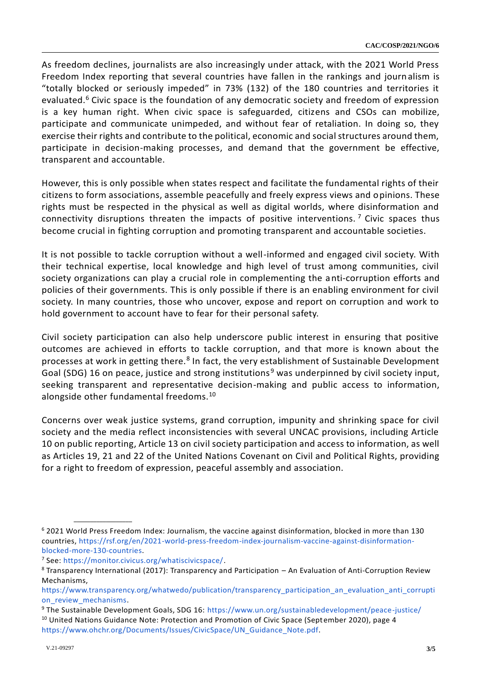As freedom declines, journalists are also increasingly under attack, with the 2021 World Press Freedom Index reporting that several countries have fallen in the rankings and journalism is "totally blocked or seriously impeded" in 73% (132) of the 180 countries and territories it evaluated.<sup>6</sup> Civic space is the foundation of any democratic society and freedom of expression is a key human right. When civic space is safeguarded, citizens and CSOs can mobilize, participate and communicate unimpeded, and without fear of retaliation. In doing so, they exercise their rights and contribute to the political, economic and social structures around them, participate in decision-making processes, and demand that the government be effective, transparent and accountable.

However, this is only possible when states respect and facilitate the fundamental rights of their citizens to form associations, assemble peacefully and freely express views and opinions. These rights must be respected in the physical as well as digital worlds, where disinformation and connectivity disruptions threaten the impacts of positive interventions.<sup>7</sup> Civic spaces thus become crucial in fighting corruption and promoting transparent and accountable societies.

It is not possible to tackle corruption without a well-informed and engaged civil society. With their technical expertise, local knowledge and high level of trust among communities, civil society organizations can play a crucial role in complementing the anti-corruption efforts and policies of their governments. This is only possible if there is an enabling environment for civil society. In many countries, those who uncover, expose and report on corruption and work to hold government to account have to fear for their personal safety.

Civil society participation can also help underscore public interest in ensuring that positive outcomes are achieved in efforts to tackle corruption, and that more is known about the processes at work in getting there.<sup>8</sup> In fact, the very establishment of Sustainable Development Goal (SDG) 16 on peace, justice and strong institutions<sup>9</sup> was underpinned by civil society input, seeking transparent and representative decision-making and public access to information, alongside other fundamental freedoms.<sup>10</sup>

Concerns over weak justice systems, grand corruption, impunity and shrinking space for civil society and the media reflect inconsistencies with several UNCAC provisions, including Article 10 on public reporting, Article 13 on civil society participation and access to information, as well as Articles 19, 21 and 22 of the United Nations Covenant on Civil and Political Rights, providing for a right to freedom of expression, peaceful assembly and association.

<sup>6</sup> 2021 World Press Freedom Index: Journalism, the vaccine against disinformation, blocked in more than 130 countries, [https://rsf.org/en/2021-world-press-freedom-index-journalism-vaccine-against-disinformation](https://rsf.org/en/2021-world-press-freedom-index-journalism-vaccine-against-disinformation-blocked-more-130-countries)[blocked-more-130-countries.](https://rsf.org/en/2021-world-press-freedom-index-journalism-vaccine-against-disinformation-blocked-more-130-countries)

<sup>7</sup> See: [https://monitor.civicus.org/whatiscivicspace/.](https://monitor.civicus.org/whatiscivicspace/)

<sup>8</sup> Transparency International (2017): Transparency and Participation – An Evaluation of Anti-Corruption Review Mechanisms,

[https://www.transparency.org/whatwedo/publication/transparency\\_participation\\_an\\_evaluation\\_anti\\_corrupti](https://www.transparency.org/whatwedo/publication/transparency_participation_an_evaluation_anti_corruption_review_mechanisms) [on\\_review\\_mechanisms.](https://www.transparency.org/whatwedo/publication/transparency_participation_an_evaluation_anti_corruption_review_mechanisms)

<sup>9</sup> The Sustainable Development Goals, SDG 16:<https://www.un.org/sustainabledevelopment/peace-justice/>

<sup>&</sup>lt;sup>10</sup> United Nations Guidance Note: Protection and Promotion of Civic Space (September 2020), page 4 [https://www.ohchr.org/Documents/Issues/CivicSpace/UN\\_Guidance\\_Note.pdf.](https://www.ohchr.org/Documents/Issues/CivicSpace/UN_Guidance_Note.pdf)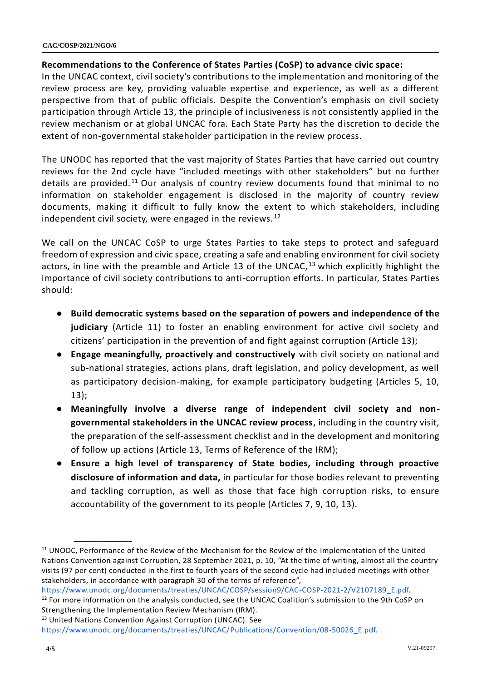#### **CAC/COSP/2021/NGO/6**

#### **Recommendations to the Conference of States Parties (CoSP) to advance civic space:**

In the UNCAC context, civil society's contributions to the implementation and monitoring of the review process are key, providing valuable expertise and experience, as well as a different perspective from that of public officials. Despite the Convention's emphasis on civil society participation through Article 13, the principle of inclusiveness is not consistently applied in the review mechanism or at global UNCAC fora. Each State Party has the discretion to decide the extent of non-governmental stakeholder participation in the review process.

The UNODC has reported that the vast majority of States Parties that have carried out country reviews for the 2nd cycle have "included meetings with other stakeholders" but no further details are provided.<sup>11</sup> Our analysis of country review documents found that minimal to no information on stakeholder engagement is disclosed in the majority of country review documents, making it difficult to fully know the extent to which stakeholders, including independent civil society, were engaged in the reviews.  $12$ 

We call on the UNCAC CoSP to urge States Parties to take steps to protect and safeguard freedom of expression and civic space, creating a safe and enabling environment for civil society actors, in line with the preamble and Article 13 of the UNCAC,  $13$  which explicitly highlight the importance of civil society contributions to anti-corruption efforts. In particular, States Parties should:

- **Build democratic systems based on the separation of powers and independence of the judiciary** (Article 11) to foster an enabling environment for active civil society and citizens' participation in the prevention of and fight against corruption (Article 13);
- **Engage meaningfully, proactively and constructively** with civil society on national and sub-national strategies, actions plans, draft legislation, and policy development, as well as participatory decision-making, for example participatory budgeting (Articles 5, 10, 13);
- **Meaningfully involve a diverse range of independent civil society and nongovernmental stakeholders in the UNCAC review process**, including in the country visit, the preparation of the self-assessment checklist and in the development and monitoring of follow up actions (Article 13, Terms of Reference of the IRM);
- **Ensure a high level of transparency of State bodies, including through proactive disclosure of information and data,** in particular for those bodies relevant to preventing and tackling corruption, as well as those that face high corruption risks, to ensure accountability of the government to its people (Articles 7, 9, 10, 13).

[https://www.unodc.org/documents/treaties/UNCAC/COSP/session9/CAC-COSP-2021-2/V2107189\\_E.pdf.](https://www.unodc.org/documents/treaties/UNCAC/COSP/session9/CAC-COSP-2021-2/V2107189_E.pdf)

<sup>13</sup> Unit[e](https://www.unodc.org/documents/treaties/UNCAC/Publications/Convention/08-50026_E.pdf)d Nations Convention Against Corruption (UNCAC). See

<sup>&</sup>lt;sup>11</sup> UNODC, Performance of the Review of the Mechanism for the Review of the Implementation of the United Nations Convention against Corruption, 28 September 2021, p. 10, "At the time of writing, almost all the country visits (97 per cent) conducted in the first to fourth years of the second cycle had included meetings with other stakeholders, in accordance with paragraph 30 of the terms of reference",

 $12$  For more information on the analysis conducted, see the UNCAC Coalition's submission to the 9th CoSP on Strengthening the Implementation Review Mechanism (IRM).

[https://www.unodc.org/documents/treaties/UNCAC/Publications/Convention/08-50026\\_E.pdf.](https://www.unodc.org/documents/treaties/UNCAC/Publications/Convention/08-50026_E.pdf)